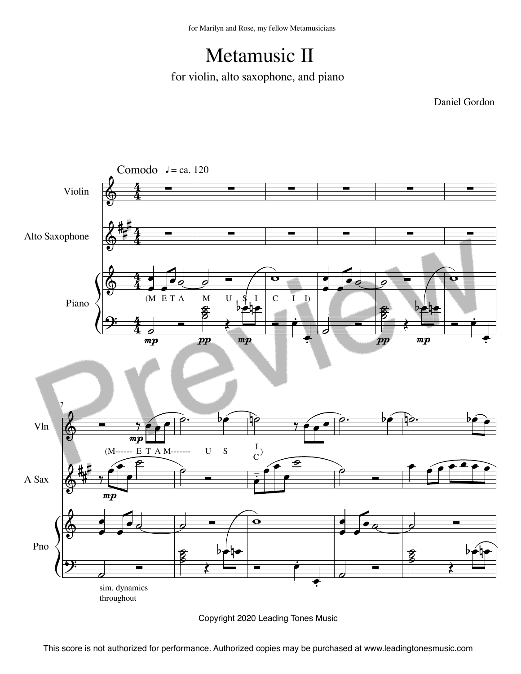## Metamusic II

for violin, alto saxophone, and piano

Daniel Gordon



Copyright 2020 Leading Tones Music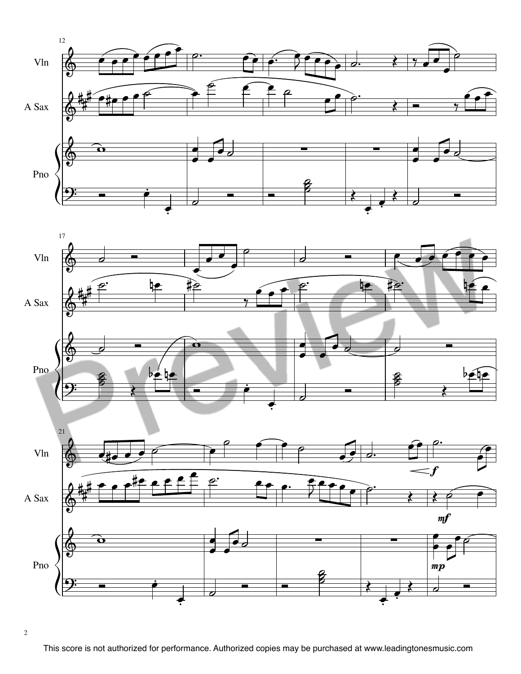

This score is not authorized for performance. Authorized copies may be purchased at www.leadingtonesmusic.com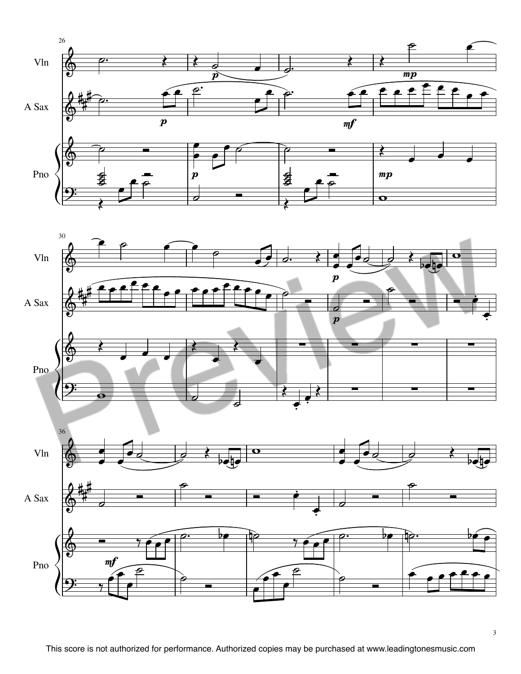